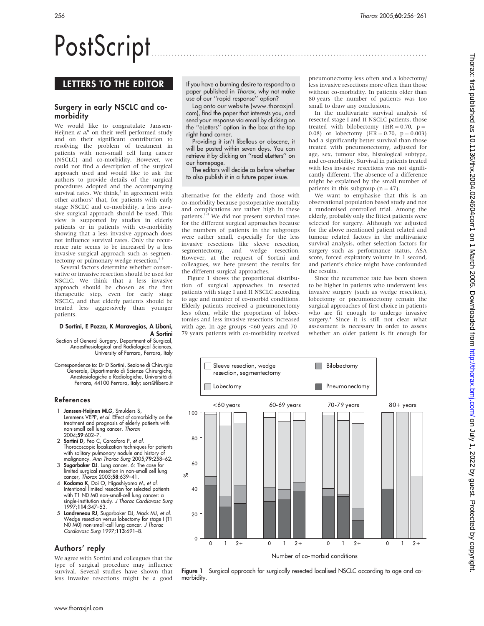# PostScript

## LETTERS TO THE EDITOR

## Surgery in early NSCLC and comorbidity

We would like to congratulate Janssen-Heijnen et  $al<sup>1</sup>$  on their well performed study and on their significant contribution to resolving the problem of treatment in patients with non-small cell lung cancer (NSCLC) and co-morbidity. However, we could not find a description of the surgical approach used and would like to ask the authors to provide details of the surgical procedures adopted and the accompanying survival rates. We think, $2$  in agreement with other authors<sup>3</sup> that, for patients with early stage NSCLC and co-morbidity, a less invasive surgical approach should be used. This view is supported by studies in elderly patients or in patients with co-morbidity showing that a less invasive approach does not influence survival rates. Only the recurrence rate seems to be increased by a less invasive surgical approach such as segmentectomy or pulmonary wedge resection.<sup>3</sup>

Several factors determine whether conservative or invasive resection should be used for NSCLC. We think that a less invasive approach should be chosen as the first therapeutic step, even for early stage NSCLC, and that elderly patients should be treated less aggressively than younger patients.

#### D Sortini, E Pozza, K Maravegias, A Liboni, A Sortini

Section of General Surgery, Department of Surgical, Anaesthesiological and Radiological Sciences, University of Ferrara, Ferrara, Italy

Correspondence to: Dr D Sortini, Sezione di Chirurgia ,<br>Generale, Dipartimento di Scienze Chirurgiche, Anestesiologiche e Radiologiche, Universita` di Ferrara, 44100 Ferrara, Italy; sors@libero.it

#### References

- 1 Janssen-Heijnen MLG, Smulders S, Lemmens VEPP, et al. Effect of comorbidity on the treatment and prognosis of elderly patients with non-small cell lung cancer. Thorax
- 2004;59:602–7. 2 Sortini D, Feo C, Carcoforo P, et al. Thoracoscopic localization techniques for patients with solitary pulmonary nodule and history of malignancy. Ann Thorac Surg 2005;79:258–62.
- 3 Sugarbaker DJ. Lung cancer. 6: The case for limited surgical resection in non-small cell lung cancer, Thorax 2003;58:639–41.
- 4 Kodama K, Doi O, Higashiyama M, et al. Intentional limited resection for selected patients with T1 N0 M0 non-small-cell lung cancer: a single-institution study. J Thorac Cardiovasc Surg 1997;114:347–53.
- Landreneau RJ, Sugarbaker DJ, Mack MJ, et al. Wedge resection versus lobectomy for stage I (T1 N0 M0) non-small-cell lung cancer. J Thorac Cardiovasc Surg 1997;113:691–8.

## Authors' reply

We agree with Sortini and colleagues that the type of surgical procedure may influence survival. Several studies have shown that less invasive resections might be a good If you have a burning desire to respond to a paper published in Thorax, why not make use of our ''rapid response'' option?

Log onto our website (www.thoraxjnl. com), find the paper that interests you, and send your response via email by clicking on the ''eLetters'' option in the box at the top right hand corner.

Providing it isn't libellous or obscene, it will be posted within seven days. You can retrieve it by clicking on ''read eLetters'' on our homepage.

The editors will decide as before whether to also publish it in a future paper issue.

alternative for the elderly and those with co-morbidity because postoperative mortality and complications are rather high in these patients.<sup>1-5</sup> We did not present survival rates for the different surgical approaches because the numbers of patients in the subgroups were rather small, especially for the less invasive resections like sleeve resection, segmentectomy, and wedge resection. However, at the request of Sortini and colleagues, we here present the results for the different surgical approaches.

Figure 1 shows the proportional distribution of surgical approaches in resected patients with stage I and II NSCLC according to age and number of co-morbid conditions. Elderly patients received a pneumonectomy less often, while the proportion of lobectomies and less invasive resections increased with age. In age groups  $<$  60 years and 70– 79 years patients with co-morbidity received

> Sleeve resection, wedge resection, segmentectomy

Lobectomy

 $0 \t 1 \t 2+$ 

100

80

60

×,

40

20

 $\Omega$ 

pneumonectomy less often and a lobectomy/ less invasive resections more often than those without co-morbidity. In patients older than 80 years the number of patients was too small to draw any conclusions.

In the multivariate survival analysis of resected stage I and II NSCLC patients, those treated with bilobectomy  $(HR = 0.70, p =$ 0.08) or lobectomy  $(HR = 0.70, p = 0.003)$ had a significantly better survival than those treated with pneumonectomy, adjusted for age, sex, tumour size, histological subtype, and co-morbidity. Survival in patients treated with less invasive resections was not significantly different. The absence of a difference might be explained by the small number of patients in this subgroup  $(n = 47)$ .

We want to emphasise that this is an observational population based study and not a randomised controlled trial. Among the elderly, probably only the fittest patients were selected for surgery. Although we adjusted for the above mentioned patient related and tumour related factors in the multivariate survival analysis, other selection factors for surgery such as performance status, ASA score, forced expiratory volume in 1 second, and patient's choice might have confounded the results.

Since the recurrence rate has been shown to be higher in patients who underwent less invasive surgery (such as wedge resection), lobectomy or pneumonectomy remain the surgical approaches of first choice in patients who are fit enough to undergo invasive surgery.<sup>4</sup> Since it is still not clear what assessment is necessary in order to assess whether an older patient is fit enough for



Number of co-morbid conditions

<60 years 60-69 years 70-79 years 80+ years

Bilobectomy

Pneumonectomy

+ 0 1 2

+ 0 1 2

 $2+$ 

+ 0 1 2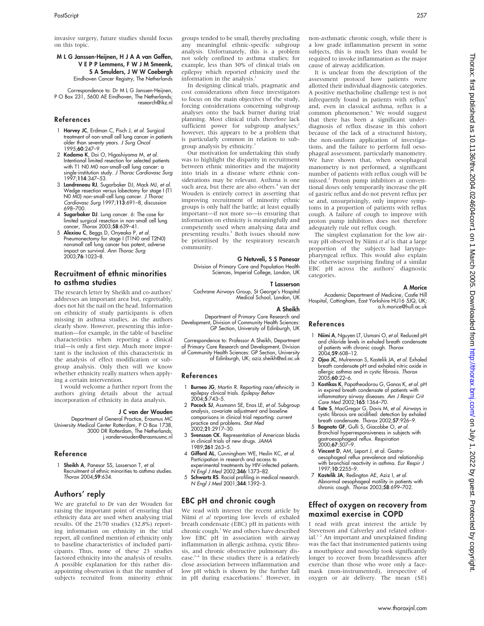invasive surgery, future studies should focus on this topic.

#### M L G Janssen-Heijnen, H J A A van Geffen, V E P P Lemmens, F W J M Smeenk, S A Smulders, J W W Coebergh Eindhoven Cancer Registry, The Netherlands

Correspondence to: Dr M L G Janssen-Heijnen, P O Box 231, 5600 AE Eindhoven, The Netherlands; research@ikz.nl

#### References

- 1 Harvey JC, Erdman C, Pisch J, et al. Surgical treatment of non-small cell lung cancer in patients older than seventy years. J Surg Oncol 1995;60:247–9.
- 2 Kodama K, Doi O, Higashiyama M, et al. Intentional limited resection for selected patients with T1 N0 M0 non-small-cell lung cancer: a single-institution study. J Thorac Cardiovasc Surg 1997;114:347–53.
- 3 Landreneau RJ, Sugarbaker DJ, Mack MJ, et al. Wedge resection versus lobectomy for stage I (T1<br>N0 M0) non-small-cell lung cancer. *J Thorac*<br>*Cardiovasc Surg* 1997;**113**:691–8, discussion 698–700.
- 4 Sugarbaker DJ. Lung cancer. 6: The case for limited surgical resection in non-small cell lung cancer, Thorax 2003;58:639–41.
- 5 Alexiou C, Beggs D, Onyeaka P, et al. Pneumonectomy for stage I (T1N0 and T2N0) nonsmall cell lung cancer has potent, adverse impact on survival. Ann Thorac Surg 2003;76:1023–8.

## Recruitment of ethnic minorities to asthma studies

The research letter by Sheikh and co-authors<sup>1</sup> addresses an important area but, regrettably, does not hit the nail on the head. Information on ethnicity of study participants is often missing in asthma studies, as the authors clearly show. However, presenting this information—for example, in the table of baseline characteristics when reporting a clinical trial—is only a first step. Much more important is the inclusion of this characteristic in the analysis of effect modification or subgroup analysis. Only then will we know whether ethnicity really matters when applying a certain intervention.

I would welcome a further report from the authors giving details about the actual incorporation of ethnicity in data analysis.

#### J C van der Wouden

Department of General Practice, Erasmus MC University Medical Center Rotterdam, P O Box 1738, 3000 DR Rotterdam, The Netherlands; j.vanderwouden@erasmusmc.nl

#### Reference

1 Sheikh A, Panesar SS, Lasserson T, et al. Recruitment of ethnic minorities to asthma studies. Thorax 2004;59:634.

## Authors' reply

We are grateful to Dr van der Wouden for raising the important point of ensuring that ethnicity data are used when analysing trial results. Of the 23/70 studies (32.8%) reporting information on ethnicity in the trial report, all confined mention of ethnicity only to baseline characteristics of included participants. Thus, none of these 23 studies factored ethnicity into the analysis of results. A possible explanation for this rather disappointing observation is that the number of subjects recruited from minority ethnic

groups tended to be small, thereby precluding any meaningful ethnic-specific subgroup analysis. Unfortunately, this is a problem not solely confined to asthma studies; for example, less than 30% of clinical trials on epilepsy which reported ethnicity used the information in the analysis.<sup>1</sup>

In designing clinical trials, pragmatic and cost considerations often force investigators to focus on the main objectives of the study, forcing considerations concerning subgroup analyses onto the back burner during trial planning. Most clinical trials therefore lack sufficient power for subgroup analyses;<sup>2</sup> however, this appears to be a problem that is particularly common in relation to subgroup analysis by ethnicity.<sup>3</sup>

Our motivation for undertaking this study was to highlight the disparity in recruitment between ethnic minorities and the majority into trials in a disease where ethnic considerations may be relevant. Asthma is one such area, but there are also others.<sup>4</sup> van der Wouden is entirely correct in asserting that improving recruitment of minority ethnic groups is only half the battle; at least equally important—if not more so—is ensuring that information on ethnicity is meaningfully and competently used when analysing data and presenting results.<sup>5</sup> Both issues should now be prioritised by the respiratory research community.

#### G Netuveli, S S Panesar

Division of Primary Care and Population Health Sciences, Imperial College, London, UK

#### T Lasserson

Cochrane Airways Group, St George's Hospital Medical School, London, UK

#### A Sheikh

Department of Primary Care Research and Development, Division of Community Health Sciences: GP Section, University of Edinburgh, UK

Correspondence to: Professor A Sheikh, Department of Primary Care Research and Development, Division of Community Health Sciences: GP Section, University of Edinburgh, UK; aziz.sheikh@ed.ac.uk

#### References

- 1 Burneo JG, Martin R. Reporting race/ethnicity in epilepsy clinical trials. Epilepsy Behav 2004;5:743–5.
- 2 Pocock SJ, Assmann SE, Enos LE, et al. Subgroup analysis, covariate adjustment and baseline comparisons in clinical trial reporting: current practice and problems. *Stat Med*<br>2002;**21**:2917–30.
- 3 Svensson CK. Representation of American blacks in clinical trials of new drugs. JAMA 1989;261:263–5.
- 4 Gifford AL, Cunningham WE, Heslin KC, et al. Participation in research and access to experimental treatments by HIV-infected patients. N Engl J Med 2002;346:1373–82.
- 5 Schwartz RS. Racial profiling in medical research. N Engl J Med 2001;344:1392–3.

## EBC pH and chronic cough

We read with interest the recent article by Niimi et al reporting low levels of exhaled breath condensate (EBC) pH in patients with chronic cough.<sup>1</sup> We and others have described low EBC pH in association with airway inflammation in allergic asthma, cystic fibrosis, and chronic obstructive pulmonary disease. $2-4$  In these studies there is a relatively close association between inflammation and low pH which is shown by the further fall in pH during exacerbations.<sup>2</sup> However, in non-asthmatic chronic cough, while there is a low grade inflammation present in some subjects, this is much less than would be required to invoke inflammation as the major cause of airway acidification.

It is unclear from the description of the assessment protocol how patients were allotted their individual diagnostic categories. A positive methacholine challenge test is not infrequently found in patients with reflux<sup>5</sup> and, even in classical asthma, reflux is a common phenomenon.<sup>6</sup> We would suggest that there has been a significant underdiagnosis of reflux disease in this cohort because of the lack of a structured history, the non-uniform application of investigations, and the failure to perform full oesophageal assessment, particularly manometry. We have shown that, when oesophageal manometry is not performed, a significant number of patients with reflux cough will be missed.7 Proton pump inhibitors at conventional doses only temporarily increase the pH of gastric reflux and do not prevent reflux per se and, unsurprisingly, only improve symptoms in a proportion of patients with reflux cough. A failure of cough to improve with proton pump inhibitors does not therefore adequately rule out reflux cough.

The simplest explanation for the low airway pH observed by Niimi et al is that a large proportion of the subjects had laryngopharyngeal reflux. This would also explain the otherwise surprising finding of a similar EBC pH across the authors' diagnostic categories.

#### A Morice

Academic Department of Medicine, Castle Hill Hospital, Cottingham, East Yorkshire HU16 5JQ, UK; a.h.morice@hull.ac.uk

#### References

- 1 Niimi A, Nguyen LT, Usmani O, et al. Reduced pH and chloride levels in exhaled breath condensate of patients with chronic cough. Thorax 2004;59:608–12.
- 2 Ojoo JC, Mulrennan S, Kastelik JA, et al. Exhaled breath condensate pH and exhaled nitric oxide in allergic asthma and in cystic fibrosis. Thorax 2005;60:22–6.
- 3 Kostikas K, Papatheodorou G, Ganas K, et al. pH in expired breath condensate of patients with inflammatory airway diseases. Am J Respir Crit Care Med 2002;165:1364–70.
- 4 Tate S, MacGregor G, Davis M, et al. Airways in cystic fibrosis are acidified: detection by exhaled
- breath condensate. Thorax 2002;57:926–9. 5 Bagnato GF, Gulli S, Giacobbe O, et al. Bronchial hyperresponsiveness in subjects with gastroesophageal reflux. *Respiration*<br>2000;**67**:507–9.
- 6 Vincent D, AM, Leport J, et al. Gastrooesophageal reflux prevalence and relationship with bronchial reactivity in asthma. Eur Respir J 1997;10:2255–9.
- 7 Kastelik JA, Redington AE, Aziz I, et al. Abnormal oesophageal motility in patients with chronic cough. Thorax 2003;58:699–702.

## Effect of oxygen on recovery from maximal exercise in COPD

I read with great interest the article by Stevenson and Calverley and related editorial.<sup>12</sup> An important and unexplained finding was the fact that instrumented patients using a mouthpiece and noseclip took significantly longer to recover from breathlessness after exercise than those who wore only a facemask (non-instrumented), irrespective of oxygen or air delivery. The mean (SE)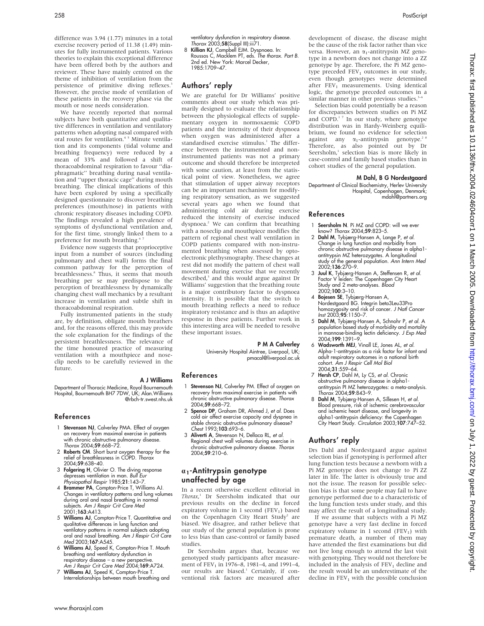We have recently reported that normal subjects have both quantitative and qualitative differences in ventilation and ventilatory patterns when adopting nasal compared with oral routes for ventilation.<sup>45</sup> Minute ventilation and its components (tidal volume and breathing frequency) were reduced by a mean of 33% and followed a shift of thoracoabdominal respiration to favour ''diaphragmatic'' breathing during nasal ventilation and ''upper thoracic cage'' during mouth breathing. The clinical implications of this have been explored by using a specifically designed questionnaire to discover breathing preferences (mouth/nose) in patients with chronic respiratory diseases including COPD. The findings revealed a high prevalence of symptoms of dysfunctional ventilation and, for the first time, strongly linked them to a preference for mouth breathing.<sup>6</sup>

Evidence now suggests that proprioceptive input from a number of sources (including pulmonary and chest wall) forms the final common pathway for the perception of breathlessness.<sup>8</sup> Thus, it seems that mouth breathing per se may predispose to the perception of breathlessness by dynamically changing chest wall mechanics by a resultant increase in ventilation and subtle shift in thoracoabdominal respiration.

Fully instrumented patients in the study are, by definition, obligate mouth breathers and, for the reasons offered, this may provide the sole explanation for the findings of the persistent breathlessness. The relevance of the time honoured practice of measuring ventilation with a mouthpiece and noseclip needs to be carefully reviewed in the future.

#### A J Williams

Department of Thoracic Medicine, Royal Bournemouth Hospital, Bournemouth BH7 7DW, UK; Alan.Williams @rbch-tr.swest.nhs.uk

#### References

- 1 Stevenson NJ, Calverley PMA. Effect of oxygen on recovery from maximal exercise in patients with chronic obstructive pulmonary disease. Thorax 2004;59:668–72.
- 2 Roberts CM. Short burst oxygen therapy for the relief of breathlessness in COPD. Thorax 2004;59:638–40.
- 3 Folgering H, Olivier O. The diving response depresses ventilation in man. Bull Eur Physiopathol Respir 1985;21:143-7
- 4 Brammer PA, Compton-Price T, Williams AJ. Changes in ventilatory patterns and lung volumes during oral and nasal breathing in normal subjects. *Am J Respir Crit Care Med*<br>2001;**163**:A413.
- 5 Williams AJ, Compton-Price T. Quantitative and qualitative differences in lung function and ventilatory patterns in normal subjects adopting oral and nasal breathing. Am J Respir Crit Care Med 2003;167:A545.
- 6 Williams AJ, Speed K, Compton-Price T. Mouth breathing and ventilatory dysfunction in respiratory disease – a new perspective.<br>Am J Respir Crit Care Med 2004;**169**:A724.
- 7 Williams AJ, Speed K, Compton-Price T. Interrelationships between mouth breathing and

ventilatory dysfunction in respiratory disease. . 11.iii71.bh*rax* 2003;**58(**Suppl III):iii

8 Killian KJ, Campbell EJM. Dyspnoea. In: Roussos C, Macklem PT, eds. The thorax. Part B. 2nd ed. New York: Marcel Decker, 1985:1709–47.

## Authors' reply

We are grateful for Dr Williams' positive comments about our study which was primarily designed to evaluate the relationship between the physiological effects of supplementary oxygen in normoxaemic COPD patients and the intensity of their dyspnoea when oxygen was administered after a standardised exercise stimulus.<sup>1</sup> The difference between the instrumented and noninstrumented patients was not a primary outcome and should therefore be interpreted with some caution, at least from the statistical point of view. Nonetheless, we agree that stimulation of upper airway receptors can be an important mechanism for modifying respiratory sensation, as we suggested several years ago when we found that administering cold air during exercise reduced the intensity of exercise induced dyspnoea.2 We can confirm that breathing with a noseclip and mouthpiece modifies the pattern of regional chest wall ventilation in COPD patients compared with non-instrumented breathing when assessed by optoelectronic plethysmography. These changes at rest did not modify the pattern of chest wall movement during exercise that we recently described,<sup>3</sup> and this would argue against Dr Williams' suggestion that the breathing route is a major contributory factor to dyspnoea intensity. It is possible that the switch to mouth breathing reflects a need to reduce inspiratory resistance and is thus an adaptive response in these patients. Further work in this interesting area will be needed to resolve these important issues.

#### P M A Calverley

University Hospital Aintree, Liverpool, UK; pmacal@liverpool.ac.uk

#### References

- 1 Stevenson NJ, Calverley PM. Effect of oxygen on recovery from maximal exercise in patients with chronic obstructive pulmonary disease. Thorax 2004;59:668–72.
- 2 Spence DP, Graham DR, Ahmed J, et al. Does cold air affect exercise capacity and dyspnea in stable chronic obstructive pulmonary disease? Chest 1993;103:693–6.
- 3 Aliverti A, Stevenson N, Dellaca RL, et al. Regional chest wall volumes during exercise in chronic obstructive pulmonary disease. Thorax 2004;59:210–6.

## $\alpha_1$ -Antitrypsin genotype unaffected by age

In a recent otherwise excellent editorial in Thorax, <sup>1</sup> Dr Seersholm indicated that our previous results on the decline in forced expiratory volume in 1 second  $(FEV_1)$  based on the Copenhagen City Heart Study<sup>2</sup> are biased. We disagree, and rather believe that our study of the general population is prone to less bias than case-control or family based studies.

Dr Seersholm argues that, because we genotyped study participants after measurement of FEV<sub>1</sub> in 1976–8, 1981–4, and 1991–4, our results are biased.<sup>1</sup> Certainly, if conventional risk factors are measured after development of disease, the disease might be the cause of the risk factor rather than vice versa. However, an  $\alpha_1$ -antitrypsin MZ genotype in a newborn does not change into a ZZ genotype by age. Therefore, the Pi MZ genotype preceded  $FEV<sub>1</sub>$  outcomes in our study, even though genotypes were determined after FEV<sub>1</sub> measurements. Using identical logic, the genotype preceded outcomes in a similar manner in other previous studies.<sup>3-6</sup>

Selection bias could potentially be a reason for discrepancies between studies on Pi MZ and COPD.<sup>17</sup> In our study, where genotype distribution was in Hardy-Weinberg equilibrium, we found no evidence for selection against any  $\alpha_1$ -antitrypsin genotype.<sup>2</sup> Therefore, as also pointed out by Dr<br>Seersholm,<sup>1</sup> selection bias is more likely in case-control and family based studies than in cohort studies of the general population.

## M Dahl, B G Nordestgaard

Department of Clinical Biochemistry, Herlev University Hospital, Copenhagen, Denmark; mdahl@partners.org

#### References

- Seersholm N. Pi MZ and COPD: will we ever know? Thorax 2004;59:823–5.
- 2 Dahl M, Tybjærg-Hansen A, Lange P, et al. Change in lung function and morbidity from chronic obstructive pulmonary disease in alpha1 antitrypsin MZ heterozygotes. A longitudinal study of the general population. *Ann Intern Med*<br>2002;**136**:270–9.
- 3 Juul K, Tybjærg-Hansen A, Steffensen R, et al. Factor V leiden: The Copenhagen City Heart Study and 2 meta-analyses. Blood  $2002 \cdot 100 \cdot 3 - 10$
- 4 Bojesen SE, Tybjærg-Hansen A, Nordestgaard BG. Integrin beta3Leu33Pro homozygosity and risk of cancer. *J Natl Cancer*<br>*Inst* 2003;**95**:1150–7.
- 5 Dahl M, Tybjærg-Hansen A, Schnohr P, et al. A population based study of morbidity and mortality in mannose-binding lectin deficiency. J Exp Med 2004;199:1391–9.
- 6 Wadsworth MEJ, Vinall LE, Jones AL, et al. Alpha-1-antitrypsin as a risk factor for infant and adult respiratory outcomes in a national birth cohort. Am J Respir Cell Mol Biol 2004;31:559–64.
- 7 Hersh CP, Dahl M, Ly CS, et al. Chronic obstructive pulmonary disease in alpha1- antitrypsin PI MZ heterozygotes: a meta-analysis. Thorax 2004;59:843–9.
- 8 Dahl M, Tybjærg-Hansen A, Sillesen H, et al. Blood pressure, risk of ischemic cerebrovascular and ischemic heart disease, and longevity in alpha1-antitrypsin deficiency: the Copenhagen<br>City Heart Study. *Circulation* 2003;**107**:747–52.

## Authors' reply

Drs Dahl and Nordestgaard argue against selection bias if genotyping is performed after lung function tests because a newborn with a Pi MZ genotype does not change to Pi ZZ later in life. The latter is obviously true and not the issue. The reason for possible selection bias is that some people may fail to have genotype performed due to a characteristic of the lung function tests under study, and this may affect the result of a longitudinal study.

If we assume that subjects with a Pi MZ genotype have a very fast decline in forced expiratory volume in 1 second (FEV<sub>1</sub>) with premature death, a number of them may have attended the first examinations but did not live long enough to attend the last visit with genotyping. They would not therefore be included in the analysis of  $FEV<sub>1</sub>$  decline and the result would be an underestimate of the decline in  $FEV<sub>1</sub>$  with the possible conclusion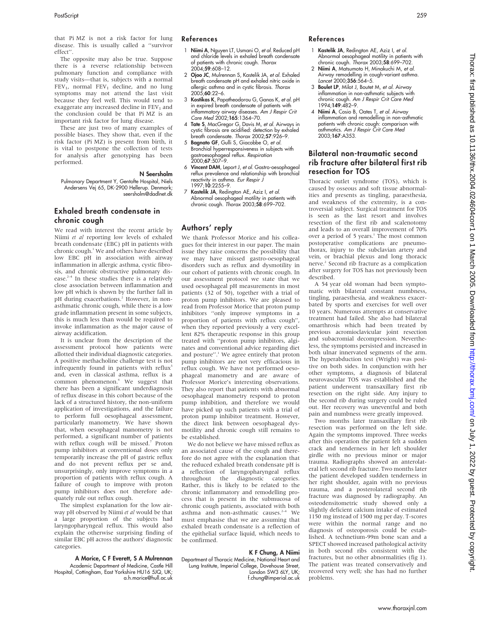that Pi MZ is not a risk factor for lung disease. This is usually called a ''survivor effect''.

The opposite may also be true. Suppose there is a reverse relationship between pulmonary function and compliance with study visits—that is, subjects with a normal  $FEV<sub>1</sub>$ , normal  $FEV<sub>1</sub>$  decline, and no lung symptoms may not attend the last visit because they feel well. This would tend to exaggerate any increased decline in FEV<sub>1</sub> and the conclusion could be that Pi MZ is an important risk factor for lung disease.

These are just two of many examples of possible biases. They show that, even if the risk factor (Pi MZ) is present from birth, it is vital to postpone the collection of tests for analysis after genotyping has been performed.

#### N Seersholm

Pulmonary Department Y, Gentofte Hospital, Niels Andersens Vej 65, DK-2900 Hellerup. Denmark; seersholm@dadlnet.dk

## Exhaled breath condensate in chronic cough

We read with interest the recent article by Niimi et al reporting low levels of exhaled breath condensate (EBC) pH in patients with chronic cough.<sup>1</sup> We and others have described low EBC pH in association with airway inflammation in allergic asthma, cystic fibrosis, and chronic obstructive pulmonary disease.2–4 In these studies there is a relatively close association between inflammation and low pH which is shown by the further fall in pH during exacerbations.<sup>2</sup> However, in nonasthmatic chronic cough, while there is a low grade inflammation present in some subjects, this is much less than would be required to invoke inflammation as the major cause of airway acidification.

It is unclear from the description of the assessment protocol how patients were allotted their individual diagnostic categories. A positive methacholine challenge test is not infrequently found in patients with reflux<sup>5</sup> and, even in classical asthma, reflux is a common phenomenon.6 We suggest that there has been a significant underdiagnosis of reflux disease in this cohort because of the lack of a structured history, the non-uniform application of investigations, and the failure to perform full oesophageal assessment, particularly manometry. We have shown that, when oesophageal manometry is not performed, a significant number of patients with reflux cough will be missed.<sup>7</sup> Proton pump inhibitors at conventional doses only temporarily increase the pH of gastric reflux and do not prevent reflux per se and, unsurprisingly, only improve symptoms in a proportion of patients with reflux cough. A failure of cough to improve with proton pump inhibitors does not therefore adequately rule out reflux cough.

The simplest explanation for the low airway pH observed by Niimi et al would be that a large proportion of the subjects had laryngopharyngeal reflux. This would also explain the otherwise surprising finding of similar EBC pH across the authors' diagnostic categories.

#### A Morice, C F Everett, S A Mulrennan

Academic Department of Medicine, Castle Hill Hospital, Cottingham, East Yorkshire HU16 5JQ, UK; a.h.morice@hull.ac.uk

### References

- 1 Niimi A, Nguyen LT, Usmani O, et al. Reduced pH and chloride levels in exhaled breath condensate of patients with chronic cough. Thorax 2004;59:608–12.
- 2 Ojoo JC, Mulrennan S, Kastelik JA, et al. Exhaled breath condensate pH and exhaled nitric oxide in allergic asthma and in cystic fibrosis. Thorax 2005;60:22–6.
- 3 Kostikas K, Papatheodorou G, Ganas K, et al. pH in expired breath condensate of patients with intlammatory airway diseases. *Am J Respir Crit*<br>*Care Med* 2002;**165**:1364–70.
- 4 Tate S, MacGregor G, Davis M, et al. Airways in cystic fibrosis are acidified: detection by exhaled<br>breath condensate. *Thorax* 2002;**57**:926–9.
- 5 Bagnato GF, Gulli S, Giacobbe O, et al. Bronchial hyperresponsiveness in subjects with gastroesophageal reflux. *Respiration*<br>2000;**67**:507–9.
- 6 Vincent DAM, Leport J, et al. Gastro-oesophageal reflux prevalence and relationship with bronchial reactivity in asthma. Eur Respir J 1997;10:2255–9.
- 7 Kastelik JA, Redington AE, Aziz I, et al. Abnormal oesophageal motility in patients with chronic cough. Thorax 2003;58:699–702.

## Authors' reply

We thank Professor Morice and his colleagues for their interest in our paper. The main issue they raise concerns the possibility that we may have missed gastro-oesophageal disorders such as reflux and dysmotility in our cohort of patients with chronic cough. In our assessment protocol we state that we used oesophageal pH measurements in most patients (32 of 50), together with a trial of proton pump inhibitors. We are pleased to read from Professor Morice that proton pump inhibitors ''only improve symptoms in a proportion of patients with reflux cough'', when they reported previously a very excellent 82% therapeutic response in this group treated with ''proton pump inhibitors, alginates and conventional advice regarding diet and posture".<sup>1</sup> We agree entirely that proton pump inhibitors are not very efficacious in reflux cough. We have not performed oesophageal manometry and are aware of Professor Morice's interesting observations. They also report that patients with abnormal oesophageal manometry respond to proton pump inhibition, and therefore we would have picked up such patients with a trial of proton pump inhibitor treatment. However, the direct link between oesophageal dysmotility and chronic cough still remains to be established.

We do not believe we have missed reflux as an associated cause of the cough and therefore do not agree with the explanation that the reduced exhaled breath condensate pH is a reflection of laryngopharyngeal reflux throughout the diagnostic categories. Rather, this is likely to be related to the chronic inflammatory and remodelling process that is present in the submucosa of chronic cough patients, associated with both asthma and non-asthmatic causes.<sup>2-4</sup> We must emphasise that we are assuming that exhaled breath condensate is a reflection of the epithelial surface liquid, which needs to be confirmed.

#### K F Chung, A Niimi

Department of Thoracic Medicine, National Heart and Lung Institute, Imperial College, Dovehouse Street, London SW3 6LY, UK; f.chung@imperial.ac.uk

#### References

- 1 Kastelik JA, Redington AE, Aziz I, et al. Abnormal oesophageal motility in patients with chronic cough. Thorax 2003;58:699–702.
- 2 Niimi A, Matsumoto H, Minakuchi M, et al. Airway remodelling in cough-variant asthma. Lancet 2000;356:564–5.
- 3 Boulet LP, Milot J, Boutet M, et al. Airway inflammation in non-asthmatic subjects with chronic cough. Am J Respir Crit Care Med 1994;149:482–9.
- 4 Niimi A, Cosio B, Oates T, et al. Airway inflammation and remodelling in non-asthmatic patients with chronic cough: comparison with asthmatics. Am J Respir Crit Care Med 2003;167:A353.

## Bilateral non-traumatic second rib fracture after bilateral first rib resection for TOS

Thoracic outlet syndrome (TOS), which is caused by osseous and soft tissue abnormalities and presents as tingling, paraesthesia, and weakness of the extremity, is a controversial subject. Surgical treatment for TOS is seen as the last resort and involves resection of the first rib and scalenotomy and leads to an overall improvement of 70% over a period of 5 years.<sup>1</sup> The most common postoperative complications are pneumothorax, injury to the subclavian artery and vein, or brachial plexus and long thoracic nerve.<sup>2</sup> Second rib fracture as a complication after surgery for TOS has not previously been described.

A 54 year old woman had been symptomatic with bilateral constant numbness, tingling, paraesthesia, and weakness exacerbated by sports and exercises for well over 10 years. Numerous attempts at conservative treatment had failed. She also had bilateral omarthrosis which had been treated by previous acromioclavicular joint resection and subacromial decompression. Nevertheless, the symptoms persisted and increased in both ulnar innervated segments of the arm. The hyperabduction test (Wright) was positive on both sides. In conjunction with her other symptoms, a diagnosis of bilateral neurovascular TOS was established and the patient underwent transaxillary first rib resection on the right side. Any injury to the second rib during surgery could be ruled out. Her recovery was uneventful and both pain and numbness were greatly improved.

Two months later transaxillary first rib resection was performed on the left side. Again the symptoms improved. Three weeks after this operation the patient felt a sudden crack and tenderness in her left shoulder girdle with no previous minor or major trauma. Radiographs showed an anterolateral left second rib fracture. Two months later the patient developed sudden tenderness in her right shoulder, again with no previous trauma, and a posterolateral second rib fracture was diagnosed by radiography. An osteodensitometric study showed only a slightly deficient calcium intake of estimated 1150 mg instead of 1500 mg per day. T-scores were within the normal range and no diagnosis of osteoporosis could be established. A technetium-99m bone scan and a SPECT showed increased pathological activity in both second ribs consistent with the fractures, but no other abnormalities (fig 1). The patient was treated conservatively and recovered very well; she has had no further problems.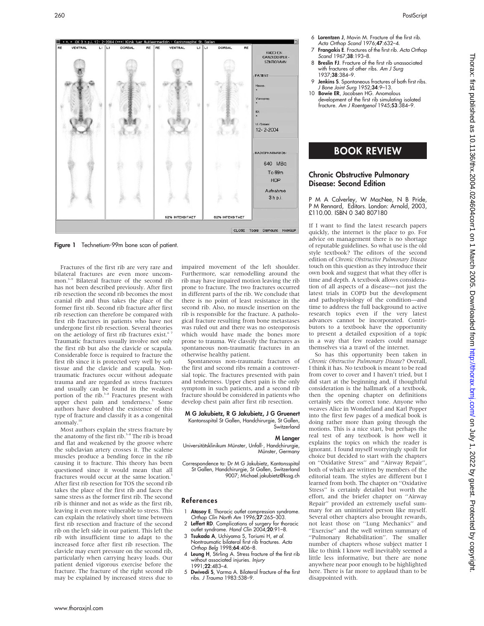

Figure 1 Technetium-99m bone scan of patient.

Fractures of the first rib are very rare and bilateral fractures are even more uncommon.<sup>3–9</sup> Bilateral fracture of the second rib has not been described previously. After first rib resection the second rib becomes the most cranial rib and thus takes the place of the former first rib. Second rib fracture after first rib resection can therefore be compared with first rib fractures in patients who have not undergone first rib resection. Several theories on the aetiology of first rib fractures exist.<sup>6</sup> Traumatic fractures usually involve not only the first rib but also the clavicle or scapula. Considerable force is required to fracture the first rib since it is protected very well by soft tissue and the clavicle and scapula. Nontraumatic fractures occur without adequate trauma and are regarded as stress fractures and usually can be found in the weakest portion of the rib.<sup>3–8</sup> Fractures present with upper chest pain and tenderness.<sup>3</sup> Some authors have doubted the existence of this type of fracture and classify it as a congenital anomaly. $<sup>1</sup>$ </sup>

Most authors explain the stress fracture by the anatomy of the first rib.<sup>3–8</sup> The rib is broad and flat and weakened by the groove where the subclavian artery crosses it. The scalene muscles produce a bending force in the rib causing it to fracture. This theory has been questioned since it would mean that all fractures would occur at the same location.<sup>3</sup> After first rib resection for TOS the second rib takes the place of the first rib and faces the same stress as the former first rib. The second rib is thinner and not as wide as the first rib, leaving it even more vulnerable to stress. This can explain the relatively short time between first rib resection and fracture of the second rib on the left side in our patient. This left the rib with insufficient time to adapt to the increased force after first rib resection. The clavicle may exert pressure on the second rib, particularly when carrying heavy loads. Our patient denied vigorous exercise before the fracture. The fracture of the right second rib may be explained by increased stress due to impaired movement of the left shoulder. Furthermore, scar remodelling around the rib may have impaired motion leaving the rib prone to fracture. The two fractures occurred in different parts of the rib. We conclude that there is no point of least resistance in the second rib. Also, no muscle insertion on the rib is responsible for the fracture. A pathological fracture resulting from bone metastases was ruled out and there was no osteoporosis which would have made the bones more prone to trauma. We classify the fractures as spontaneous non-traumatic fractures in an otherwise healthy patient.

Spontaneous non-traumatic fractures of the first and second ribs remain a controversial topic. The fractures presented with pain and tenderness. Upper chest pain is the only symptom in such patients, and a second rib fracture should be considered in patients who develop chest pain after first rib resection.

#### M G Jakubietz, R G Jakubietz, J G Gruenert Kantonsspital St Gallen, Handchirurgie, St Gallen,

Switzerland

#### M Langer

Universitätsklinikum Münster, Unfall-, Handchirurgie, Münster, Germany

Correspondence to: Dr M G Jakubietz, Kantonsspital St Gallen, Handchirurgie, St Gallen, Switzerland 9007; Michael.jakubietz@kssg.ch

#### References

- 1 Atasoy E. Thoracic outlet compression syndrome. Orthop Clin North Am 1996;27:265–303.
- 2 Leffert RD. Complications of surgery for thoracic outlet syndrome. Hand Clin 2004;20:91-8.
- 3 Tsukada A, Uchiyama S, Toriumi H, et al. Nontraumatic bilateral first rib fractures. Acta Orthop Belg 1998;64:406-8.
- 4 Leung H, Stirling A. Stress fracture of the first rib without associated injuries. Injury 1991;22:483–4.
- 5 Dwivedi S, Varma A. Bilateral fracture of the first ribs. J Trauma 1983:538–9.
- 6 Lorentzen J, Movin M. Fracture of the first rib. Acta Orthop Scand 1976;47:632–4.
- Frangakis E. Fractures of the first rib. Acta Orthop Scand 1967;38:193–8.
- 8 Breslin FJ. Fracture of the first rib unassociated with fractures of other ribs. Am J Surg 1937;38:384–9.
- 9 Jenkins S. Spontaneous fractures of both first ribs. J Bone Joint Surg 1952;34:9–13.
- 10 **Bowie ER**, Jacobsen HG. Anomalous development of the first rib simulating isolated fracture. Am J Roentgenol 1945;53:384–9.

# BOOK REVIEW

## Chronic Obstructive Pulmonary Disease: Second Edition

P M A Calverley, W MacNee, N B Pride, P M Rennard, Editors. London: Arnold, 2003, £110.00. ISBN 0 340 807180

If I want to find the latest research papers quickly, the internet is the place to go. For advice on management there is no shortage of reputable guidelines. So what use is the old style textbook? The editors of the second edition of Chronic Obstructive Pulmonary Disease touch on this question as they introduce their own book and suggest that what they offer is time and depth. A textbook allows consideration of all aspects of a disease—not just the latest trials in COPD but the development and pathophysiology of the condition—and time to address the full background to active research topics even if the very latest advances cannot be incorporated. Contributors to a textbook have the opportunity to present a detailed exposition of a topic in a way that few readers could manage themselves via a trawl of the internet.

So has this opportunity been taken in Chronic Obstructive Pulmonary Disease? Overall, I think it has. No textbook is meant to be read from cover to cover and I haven't tried, but I did start at the beginning and, if thoughtful consideration is the hallmark of a textbook, then the opening chapter on definitions certainly sets the correct tone. Anyone who weaves Alice in Wonderland and Karl Popper into the first few pages of a medical book is doing rather more than going through the motions. This is a nice start, but perhaps the real test of any textbook is how well it explains the topics on which the reader is ignorant. I found myself worryingly spoilt for choice but decided to start with the chapters on ''Oxidative Stress'' and ''Airway Repair'', both of which are written by members of the editorial team. The styles are different but I learned from both. The chapter on ''Oxidative Stress'' is certainly detailed but worth the effort, and the briefer chapter on ''Airway Repair'' provided an extremely useful summary for an uninitiated person like myself. Several other chapters also brought rewards, not least those on ''Lung Mechanics'' and ''Exercise'' and the well written summary of ''Pulmonary Rehabilitation''. The smaller number of chapters whose subject matter I like to think I know well inevitably seemed a little less informative, but there are none anywhere near poor enough to be highlighted here. There is far more to applaud than to be disappointed with.